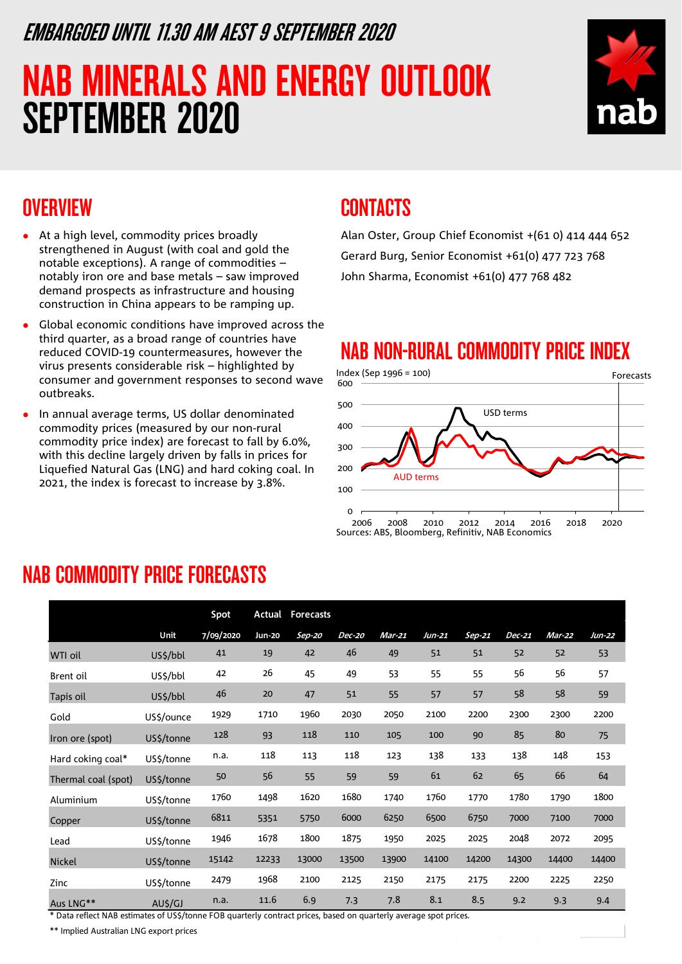### EMBARGOED UNTIL 11.30 AM AEST 9 SEPTEMBER 2020

# NAB MINERALS AND ENERGY OUTLOOK SEPTEMBER 2020



### **OVERVIEW**

- At a high level, commodity prices broadly strengthened in August (with coal and gold the notable exceptions). A range of commodities – notably iron ore and base metals – saw improved demand prospects as infrastructure and housing construction in China appears to be ramping up.
- Global economic conditions have improved across the third quarter, as a broad range of countries have reduced COVID-19 countermeasures, however the virus presents considerable risk – highlighted by consumer and government responses to second wave outbreaks.
- In annual average terms, US dollar denominated commodity prices (measured by our non-rural commodity price index) are forecast to fall by 6.0%, with this decline largely driven by falls in prices for Liquefied Natural Gas (LNG) and hard coking coal. In 2021, the index is forecast to increase by 3.8%.

### CONTACTS

Alan Oster, Group Chief Economist +(61 0) 414 444 652 Gerard Burg, Senior Economist +61(0) 477 723 768 John Sharma, Economist +61(0) 477 768 482

### NAB NON-RURAL COMMODITY PRICE INDEX



### NAB COMMODITY PRICE FORECASTS

|                     |            | Spot      | Actual | <b>Forecasts</b> |        |          |        |          |        |        |        |
|---------------------|------------|-----------|--------|------------------|--------|----------|--------|----------|--------|--------|--------|
|                     | Unit       | 7/09/2020 | Jun-20 | Sep-20           | Dec-20 | $Mar-21$ | Jun-21 | $Sep-21$ | Dec-21 | Mar-22 | Jun-22 |
| WTI oil             | US\$/bbl   | 41        | 19     | 42               | 46     | 49       | 51     | 51       | 52     | 52     | 53     |
| Brent oil           | US\$/bbl   | 42        | 26     | 45               | 49     | 53       | 55     | 55       | 56     | 56     | 57     |
| Tapis oil           | US\$/bbl   | 46        | 20     | 47               | 51     | 55       | 57     | 57       | 58     | 58     | 59     |
| Gold                | US\$/ounce | 1929      | 1710   | 1960             | 2030   | 2050     | 2100   | 2200     | 2300   | 2300   | 2200   |
| Iron ore (spot)     | US\$/tonne | 128       | 93     | 118              | 110    | 105      | 100    | 90       | 85     | 80     | 75     |
| Hard coking coal*   | US\$/tonne | n.a.      | 118    | 113              | 118    | 123      | 138    | 133      | 138    | 148    | 153    |
| Thermal coal (spot) | US\$/tonne | 50        | 56     | 55               | 59     | 59       | 61     | 62       | 65     | 66     | 64     |
| Aluminium           | US\$/tonne | 1760      | 1498   | 1620             | 1680   | 1740     | 1760   | 1770     | 1780   | 1790   | 1800   |
| Copper              | US\$/tonne | 6811      | 5351   | 5750             | 6000   | 6250     | 6500   | 6750     | 7000   | 7100   | 7000   |
| Lead                | US\$/tonne | 1946      | 1678   | 1800             | 1875   | 1950     | 2025   | 2025     | 2048   | 2072   | 2095   |
| <b>Nickel</b>       | US\$/tonne | 15142     | 12233  | 13000            | 13500  | 13900    | 14100  | 14200    | 14300  | 14400  | 14400  |
| Zinc                | US\$/tonne | 2479      | 1968   | 2100             | 2125   | 2150     | 2175   | 2175     | 2200   | 2225   | 2250   |
| Aus LNG**           | AU\$/GJ    | n.a.      | 11.6   | 6.9              | 7.3    | 7.8      | 8.1    | 8.5      | 9.2    | 9.3    | 9.4    |

\* Data reflect NAB estimates of US\$/tonne FOB quarterly contract prices, based on quarterly average spot prices.

\*\* Implied Australian LNG export prices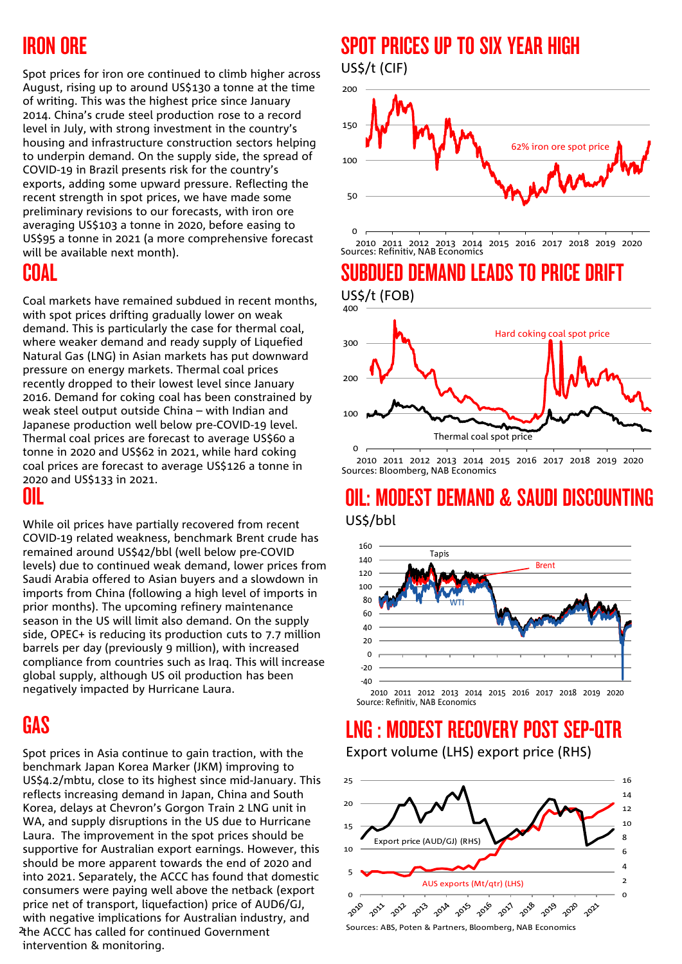## IRON ORE

Spot prices for iron ore continued to climb higher across August, rising up to around US\$130 a tonne at the time of writing. This was the highest price since January 2014. China's crude steel production rose to a record level in July, with strong investment in the country's housing and infrastructure construction sectors helping to underpin demand. On the supply side, the spread of COVID-19 in Brazil presents risk for the country's exports, adding some upward pressure. Reflecting the recent strength in spot prices, we have made some preliminary revisions to our forecasts, with iron ore averaging US\$103 a tonne in 2020, before easing to US\$95 a tonne in 2021 (a more comprehensive forecast will be available next month).

### COAL

Coal markets have remained subdued in recent months, with spot prices drifting gradually lower on weak demand. This is particularly the case for thermal coal, where weaker demand and ready supply of Liquefied Natural Gas (LNG) in Asian markets has put downward pressure on energy markets. Thermal coal prices recently dropped to their lowest level since January 2016. Demand for coking coal has been constrained by weak steel output outside China – with Indian and Japanese production well below pre-COVID-19 level. Thermal coal prices are forecast to average US\$60 a tonne in 2020 and US\$62 in 2021, while hard coking coal prices are forecast to average US\$126 a tonne in 2020 and US\$133 in 2021. OIL

While oil prices have partially recovered from recent COVID-19 related weakness, benchmark Brent crude has remained around US\$42/bbl (well below pre-COVID levels) due to continued weak demand, lower prices from Saudi Arabia offered to Asian buyers and a slowdown in imports from China (following a high level of imports in prior months). The upcoming refinery maintenance season in the US will limit also demand. On the supply side, OPEC+ is reducing its production cuts to 7.7 million barrels per day (previously 9 million), with increased compliance from countries such as Iraq. This will increase global supply, although US oil production has been negatively impacted by Hurricane Laura.

## **GAS**

2 the ACCC has called for continued Government Spot prices in Asia continue to gain traction, with the benchmark Japan Korea Marker (JKM) improving to US\$4.2/mbtu, close to its highest since mid-January. This reflects increasing demand in Japan, China and South Korea, delays at Chevron's Gorgon Train 2 LNG unit in WA, and supply disruptions in the US due to Hurricane Laura. The improvement in the spot prices should be supportive for Australian export earnings. However, this should be more apparent towards the end of 2020 and into 2021. Separately, the ACCC has found that domestic consumers were paying well above the netback (export price net of transport, liquefaction) price of AUD6/GJ, with negative implications for Australian industry, and intervention & monitoring.

### SPOT PRICES UP TO SIX YEAR HIGH US\$/t (CIF)



2010 2011 2012 2013 2014 2015 2016 2017 2018 2019 2020 Sources: Refinitiv, NAB Economics

### SUBDUED DEMAND LEADS TO PRICE DRIFT US\$/t (FOB)



2010 2011 2012 2013 2014 2015 2016 2017 2018 2019 2020 Sources: Bloomberg, NAB Economics

### OIL: MODEST DEMAND & SAUDI DISCOU US\$/bbl



Source: Refinitiv, NAB Economics

## LNG : MODEST RECOVERY POST SEP-QTR

Export volume (LHS) export price (RHS)



Sources: ABS, Poten & Partners, Bloomberg, NAB Economics